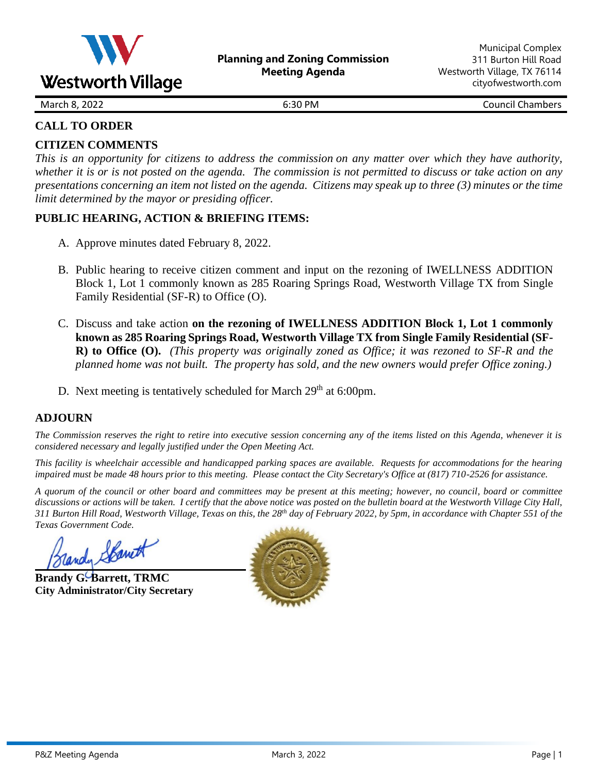

March 8, 2022 **6:30 PM** 6:30 PM **Council Chambers** 

### **CALL TO ORDER**

### **CITIZEN COMMENTS**

This is an opportunity for citizens to address the commission on any matter over which they have authority, whether it is or is not posted on the agenda. The commission is not permitted to discuss or take action on any presentations concerning an item not listed on the agenda. Citizens may speak up to three  $(3)$  minutes or the time *limit determined by the mayor or presiding officer.*

### **PUBLIC HEARING, ACTION & BRIEFING ITEMS:**

- A. Approve minutes dated February 8, 2022.
- B. Public hearing to receive citizen comment and input on the rezoning of IWELLNESS ADDITION Block 1, Lot 1 commonly known as 285 Roaring Springs Road, Westworth Village TX from Single Family Residential (SF-R) to Office (O).
- C. Discuss and take action **on the rezoning of IWELLNESS ADDITION Block 1, Lot 1 commonly known as 285 Roaring Springs Road, Westworth Village TX from Single Family Residential (SF-R) to Office (O).** *(This property was originally zoned as Office; it was rezoned to SF-R and the planned home was not built. The property has sold, and the new owners would prefer Office zoning.)*
- D. Next meeting is tentatively scheduled for March  $29<sup>th</sup>$  at 6:00pm.

### **ADJOURN**

*The Commission reserves the right to retire into executive session concerning any of the items listed on this Agenda, whenever it is considered necessary and legally justified under the Open Meeting Act.*

*This facility is wheelchair accessible and handicapped parking spaces are available. Requests for accommodations for the hearing impaired must be made 48 hours prior to this meeting. Please contact the City Secretary's Office at (817) 710-2526 for assistance.*

*A quorum of the council or other board and committees may be present at this meeting; however, no council, board or committee discussions or actions will be taken. I certify that the above notice was posted on the bulletin board at the Westworth Village City Hall, 311 Burton Hill Road, Westworth Village, Texas on this, the 28th day of February 2022, by 5pm, in accordance with Chapter 551 of the Texas Government Code.* 

andy Spani

**Brandy G. Barrett, TRMC City Administrator/City Secretary**

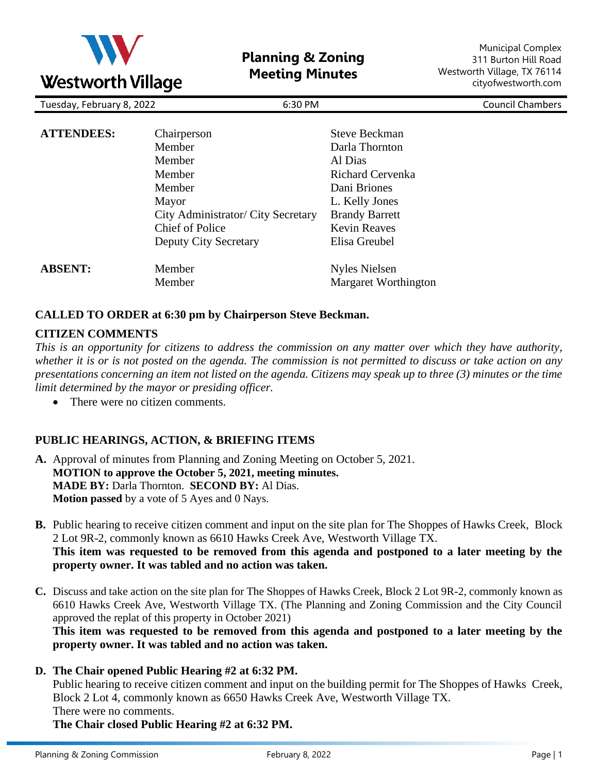

**Planning & Zoning Meeting Minutes**

Municipal Complex 311 Burton Hill Road Westworth Village, TX 76114 cityofwestworth.com

| Tuesday, February 8, 2022<br>6:30 PM |                                    |                                        | <b>Council Chambers</b> |
|--------------------------------------|------------------------------------|----------------------------------------|-------------------------|
| <b>ATTENDEES:</b>                    | Chairperson<br>Member              | <b>Steve Beckman</b><br>Darla Thornton |                         |
|                                      | Member                             | Al Dias                                |                         |
|                                      | Member                             | <b>Richard Cervenka</b>                |                         |
|                                      | Member                             | Dani Briones                           |                         |
|                                      | Mayor                              | L. Kelly Jones                         |                         |
|                                      | City Administrator/ City Secretary | <b>Brandy Barrett</b>                  |                         |
|                                      | <b>Chief of Police</b>             | <b>Kevin Reaves</b>                    |                         |
|                                      | <b>Deputy City Secretary</b>       | Elisa Greubel                          |                         |
| <b>ABSENT:</b>                       | Member                             | <b>Nyles Nielsen</b>                   |                         |
|                                      | Member                             | Margaret Worthington                   |                         |

#### **CALLED TO ORDER at 6:30 pm by Chairperson Steve Beckman.**

#### **CITIZEN COMMENTS**

*This is an opportunity for citizens to address the commission on any matter over which they have authority, whether it is or is not posted on the agenda. The commission is not permitted to discuss or take action on any presentations concerning an item not listed on the agenda. Citizens may speak up to three (3) minutes or the time limit determined by the mayor or presiding officer.*

• There were no citizen comments*.*

#### **PUBLIC HEARINGS, ACTION, & BRIEFING ITEMS**

- **A.** Approval of minutes from Planning and Zoning Meeting on October 5, 2021. **MOTION to approve the October 5, 2021, meeting minutes. MADE BY:** Darla Thornton. **SECOND BY:** Al Dias. **Motion passed** by a vote of 5 Ayes and 0 Nays.
- **B.** Public hearing to receive citizen comment and input on the site plan for The Shoppes of Hawks Creek, Block 2 Lot 9R-2, commonly known as 6610 Hawks Creek Ave, Westworth Village TX. **This item was requested to be removed from this agenda and postponed to a later meeting by the property owner. It was tabled and no action was taken.**
- **C.** Discuss and take action on the site plan for The Shoppes of Hawks Creek, Block 2 Lot 9R-2, commonly known as 6610 Hawks Creek Ave, Westworth Village TX. (The Planning and Zoning Commission and the City Council approved the replat of this property in October 2021)

**This item was requested to be removed from this agenda and postponed to a later meeting by the property owner. It was tabled and no action was taken.**

**D. The Chair opened Public Hearing #2 at 6:32 PM.**

Public hearing to receive citizen comment and input on the building permit for The Shoppes of Hawks Creek, Block 2 Lot 4, commonly known as 6650 Hawks Creek Ave, Westworth Village TX.

There were no comments.

**The Chair closed Public Hearing #2 at 6:32 PM.**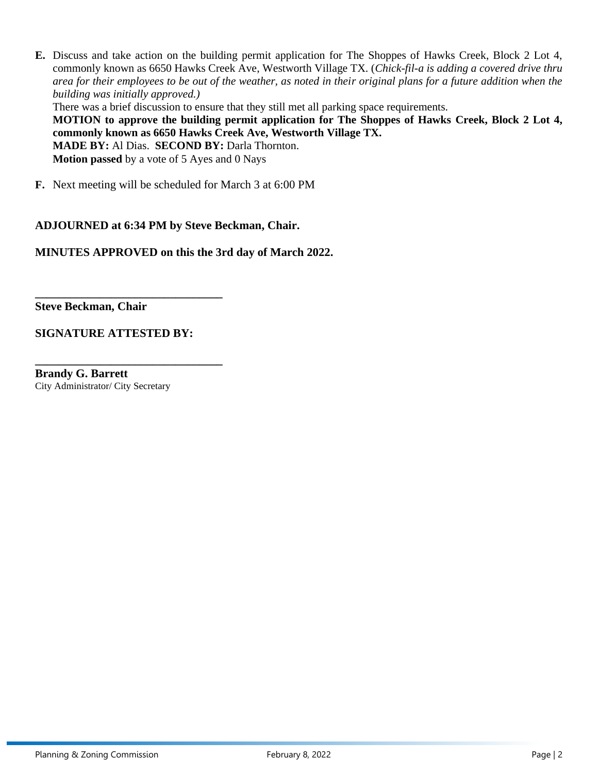**E.** Discuss and take action on the building permit application for The Shoppes of Hawks Creek, Block 2 Lot 4, commonly known as 6650 Hawks Creek Ave, Westworth Village TX. (*Chick-fil-a is adding a covered drive thru area for their employees to be out of the weather, as noted in their original plans for a future addition when the building was initially approved.)*

There was a brief discussion to ensure that they still met all parking space requirements.

**MOTION to approve the building permit application for The Shoppes of Hawks Creek, Block 2 Lot 4, commonly known as 6650 Hawks Creek Ave, Westworth Village TX.**

**MADE BY:** Al Dias. **SECOND BY:** Darla Thornton. **Motion passed** by a vote of 5 Ayes and 0 Nays

**F.** Next meeting will be scheduled for March 3 at 6:00 PM

#### **ADJOURNED at 6:34 PM by Steve Beckman, Chair.**

**MINUTES APPROVED on this the 3rd day of March 2022.**

**Steve Beckman, Chair**

#### **SIGNATURE ATTESTED BY:**

**\_\_\_\_\_\_\_\_\_\_\_\_\_\_\_\_\_\_\_\_\_\_\_\_\_\_\_\_\_\_\_\_**

**\_\_\_\_\_\_\_\_\_\_\_\_\_\_\_\_\_\_\_\_\_\_\_\_\_\_\_\_\_\_\_\_**

**Brandy G. Barrett** City Administrator/ City Secretary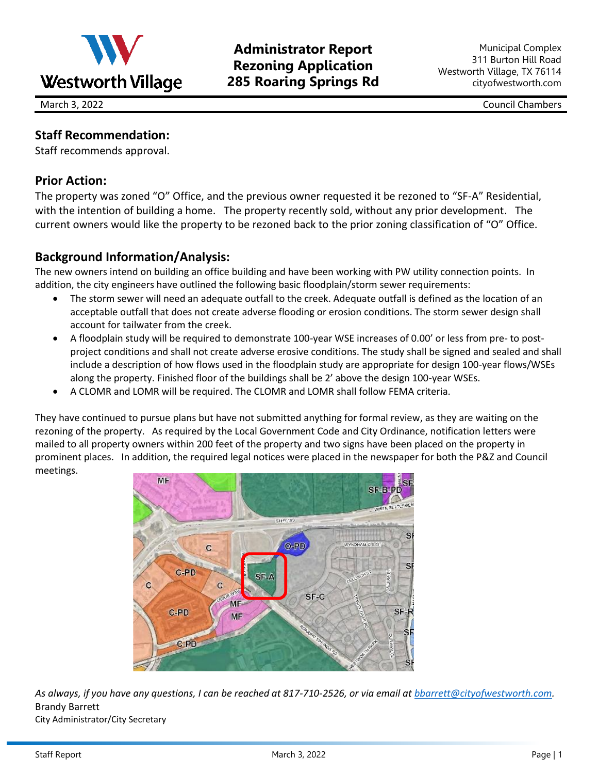

# **Administrator Report Rezoning Application 285 Roaring Springs Rd**

March 3, 2022 Council Chambers

# **Staff Recommendation:**

Staff recommends approval.

## **Prior Action:**

The property was zoned "O" Office, and the previous owner requested it be rezoned to "SF-A" Residential, with the intention of building a home. The property recently sold, without any prior development. The current owners would like the property to be rezoned back to the prior zoning classification of "O" Office.

### **Background Information/Analysis:**

The new owners intend on building an office building and have been working with PW utility connection points. In addition, the city engineers have outlined the following basic floodplain/storm sewer requirements:

- The storm sewer will need an adequate outfall to the creek. Adequate outfall is defined as the location of an acceptable outfall that does not create adverse flooding or erosion conditions. The storm sewer design shall account for tailwater from the creek.
- A floodplain study will be required to demonstrate 100-year WSE increases of 0.00' or less from pre- to postproject conditions and shall not create adverse erosive conditions. The study shall be signed and sealed and shall include a description of how flows used in the floodplain study are appropriate for design 100-year flows/WSEs along the property. Finished floor of the buildings shall be 2' above the design 100-year WSEs.
- A CLOMR and LOMR will be required. The CLOMR and LOMR shall follow FEMA criteria.

They have continued to pursue plans but have not submitted anything for formal review, as they are waiting on the rezoning of the property. As required by the Local Government Code and City Ordinance, notification letters were mailed to all property owners within 200 feet of the property and two signs have been placed on the property in prominent places. In addition, the required legal notices were placed in the newspaper for both the P&Z and Council meetings.



*As always, if you have any questions, I can be reached at 817-710-2526, or via email at [bbarrett@cityofwestworth.com.](mailto:bbarrett@cityofwestworth.com)* Brandy Barrett

City Administrator/City Secretary